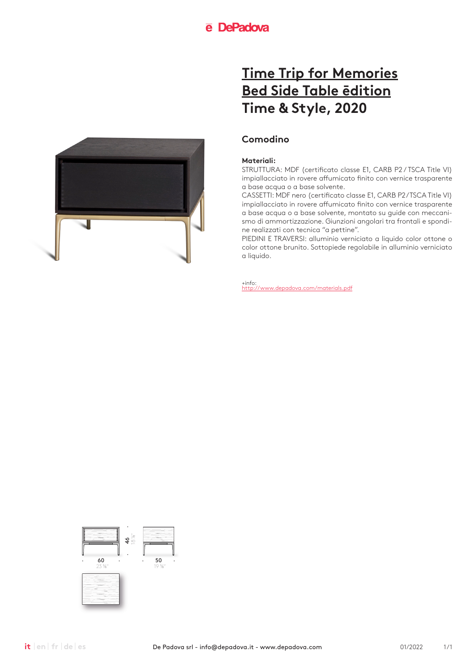

## **Comodino**

### **Materiali:**

STRUTTURA: MDF (certificato classe E1, CARB P2 / TSCA Title VI) impiallacciato in rovere affumicato finito con vernice trasparente a base acqua o a base solvente.

CASSETTI: MDF nero (certificato classe E1, CARB P2/TSCA Title VI) impiallacciato in rovere affumicato finito con vernice trasparente a base acqua o a base solvente, montato su guide con meccanismo di ammortizzazione. Giunzioni angolari tra frontali e spondine realizzati con tecnica "a pettine".

PIEDINI E TRAVERSI: alluminio verniciato a liquido color ottone o color ottone brunito. Sottopiede regolabile in alluminio verniciato a liquido.

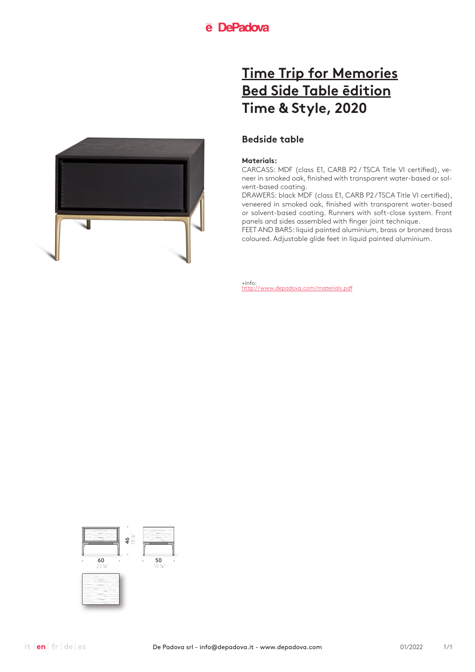

### **Bedside table**

### **Materials:**

CARCASS: MDF (class E1, CARB P2 / TSCA Title VI certified), veneer in smoked oak, finished with transparent water-based or solvent-based coating.

DRAWERS: black MDF (class E1, CARB P2 / TSCA Title VI certified), veneered in smoked oak, finished with transparent water-based or solvent-based coating. Runners with soft-close system. Front panels and sides assembled with finger joint technique.

FEET AND BARS: liquid painted aluminium, brass or bronzed brass coloured. Adjustable glide feet in liquid painted aluminium.

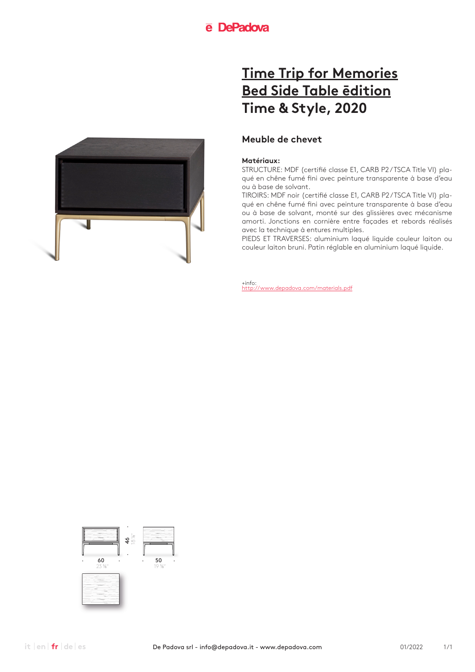

## **Meuble de chevet**

#### **Matériaux:**

STRUCTURE: MDF (certifié classe E1, CARB P2 / TSCA Title VI) plaqué en chêne fumé fini avec peinture transparente à base d'eau ou à base de solvant.

TIROIRS: MDF noir (certifié classe E1, CARB P2 / TSCA Title VI) plaqué en chêne fumé fini avec peinture transparente à base d'eau ou à base de solvant, monté sur des glissières avec mécanisme amorti. Jonctions en cornière entre façades et rebords réalisés avec la technique à entures multiples.

PIEDS ET TRAVERSES: aluminium laqué liquide couleur laiton ou couleur laiton bruni. Patin réglable en aluminium laqué liquide.

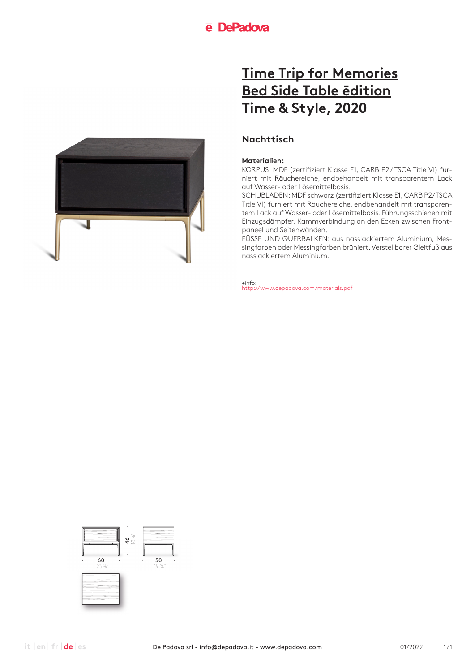

## **Nachttisch**

### **Materialien:**

KORPUS: MDF (zertifiziert Klasse E1, CARB P2 / TSCA Title VI) furniert mit Räuchereiche, endbehandelt mit transparentem Lack auf Wasser- oder Lösemittelbasis.

SCHUBLADEN: MDF schwarz (zertifiziert Klasse E1, CARB P2/TSCA Title VI) furniert mit Räuchereiche, endbehandelt mit transparentem Lack auf Wasser- oder Lösemittelbasis. Führungsschienen mit Einzugsdämpfer. Kammverbindung an den Ecken zwischen Frontpaneel und Seitenwänden.

FÜSSE UND QUERBALKEN: aus nasslackiertem Aluminium, Messingfarben oder Messingfarben brüniert. Verstellbarer Gleitfuß aus nasslackiertem Aluminium.